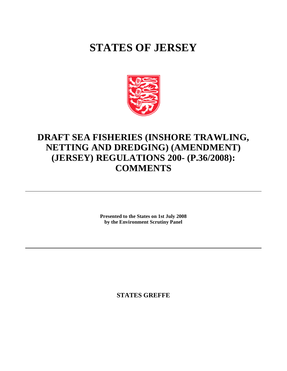# **STATES OF JERSEY**



# **DRAFT SEA FISHERIES (INSHORE TRAWLING, NETTING AND DREDGING) (AMENDMENT) (JERSEY) REGULATIONS 200- (P.36/2008): COMMENTS**

**Presented to the States on 1st July 2008 by the Environment Scrutiny Panel**

**STATES GREFFE**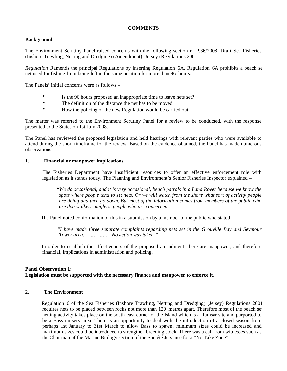# **COMMENTS**

# **Background**

The Environment Scrutiny Panel raised concerns with the following section of P.36/2008, Draft Sea Fisheries (Inshore Trawling, Netting and Dredging) (Amendment) (Jersey) Regulations 200-.

*Regulation 3* amends the principal Regulations by inserting Regulation 6A. Regulation 6A prohibits a beach set net used for fishing from being left in the same position for more than 96 hours.

The Panels' initial concerns were as follows –

- Is the 96 hours proposed an inappropriate time to leave nets set?
- The definition of the distance the net has to be moved.
- How the policing of the new Regulation would be carried out.

The matter was referred to the Environment Scrutiny Panel for a review to be conducted, with the response presented to the States on 1st July 2008.

The Panel has reviewed the proposed legislation and held hearings with relevant parties who were available to attend during the short timeframe for the review. Based on the evidence obtained, the Panel has made numerous observations.

### **1. Financial or manpower implications**

 The Fisheries Department have insufficient resources to offer an effective enforcement role with legislation as it stands today. The Planning and Environment's Senior Fisheries Inspector explained –

 *"We do occasional, and it is very occasional, beach patrols in a Land Rover because we know the spots where people tend to set nets. Or we will watch from the shore what sort of activity people are doing and then go down. But most of the information comes from members of the public who are dog walkers, anglers, people who are concerned."*

The Panel noted conformation of this in a submission by a member of the public who stated –

 *"I have made three separate complaints regarding nets set in the Grouville Bay and Seymour Tower area……………… No action was taken."*

 In order to establish the effectiveness of the proposed amendment, there are manpower, and therefore financial, implications in administration and policing.

# **Panel Observation 1: Legislation must be supported with the necessary finance and manpower to enforce it**.

# **2. The Environment**

 Regulation 6 of the Sea Fisheries (Inshore Trawling, Netting and Dredging) (Jersey) Regulations 2001 requires nets to be placed between rocks not more than 120 metres apart. Therefore most of the beach set netting activity takes place on the south-east corner of the Island which is a Ramsar site and purported to be a Bass nursery area. There is an opportunity to deal with the introduction of a closed season from perhaps 1st January to 31st March to allow Bass to spawn; minimum sizes could be increased and maximum sizes could be introduced to strengthen breeding stock. There was a call from witnesses such as the Chairman of the Marine Biology section of the Société Jersiaise for a "No Take Zone" –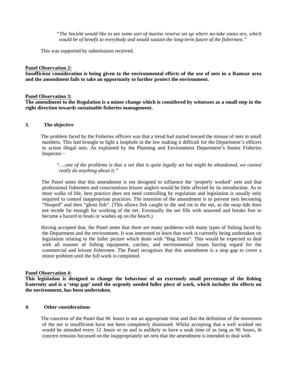*"The Société would like to see some sort of marine reserve set up where no-take zones are, which would be of benefit to everybody and would sustain the long-term future of the fishermen."*

This was supported by submissions received.

#### **Panel Observation 2:**

**Insufficient consideration is being given to the environmental effects of the use of nets in a Ramsar area and the amendment fails to take an opportunity to further protect the environment.**

#### **Panel Observation 3:**

**The amendment to the Regulation is a minor change which is considered by witnesses as a small step in the right direction towards sustainable fisheries management.**

#### **3. The objective**

 The problem faced by the Fisheries officers was that a trend had started toward the misuse of nets in small numbers. This had brought to light a loophole in the law making it difficult for the Department's officers to action illegal nets. As explained by the Planning and Environment Department's Senior Fisheries Inspector –

 *"….one of the problems is that a net that is quite legally set but might be abandoned, we cannot really do anything about it."*

 The Panel notes that this amendment is not designed to influence the 'properly worked' nets and that professional fishermen and conscientious leisure anglers would be little affected by its introduction. As in most walks of life, best practice does not need controlling by regulation and legislation is usually only required to control inappropriate practices. The intention of the amendment is to prevent nets becoming "Neaped" and then "ghost fish". (This allows fish caught to die and rot in the net, as the neap tide does not recede far enough for working of the net. Eventually the net fills with seaweed and breaks free to become a hazard to boats or washes up on the beach.)

 Having accepted that, the Panel notes that there are many problems with many types of fishing faced by the Department and the environment. It was interested to learn that work is currently being undertaken on legislation relating to the fuller picture which deals with "Bag limits". This would be expected to deal with all manner of fishing equipment, catches, and environmental issues having regard for the commercial and leisure fishermen. The Panel recognises that this amendment is a stop gap to cover a minor problem until the full work is completed.

#### **Panel Observation 4:**

**This legislation is designed to change the behaviour of an extremely small percentage of the fishing fraternity and is a 'stop gap' until the urgently needed fuller piece of work, which includes the effects on the environment, has been undertaken.**

## **4. Other considerations**

The concerns of the Panel that 96 hours is not an appropriate time and that the definition of the movement of the net is insufficient have not been completely dismissed. Whilst accepting that a well worked net would be attended every 12 hours or so and is unlikely to have a soak time of as long as 96 hours, the concern remains focussed on the inappropriately set nets that the amendment is intended to deal with.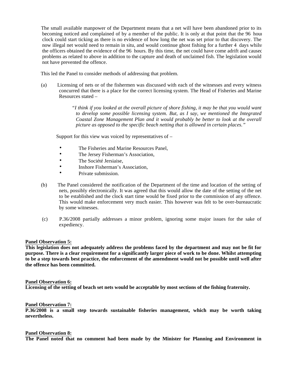The small available manpower of the Department means that a net will have been abandoned prior to its becoming noticed and complained of by a member of the public. It is only at that point that the 96 hour clock could start ticking as there is no evidence of how long the net was set prior to that discovery. The now illegal net would need to remain in situ, and would continue ghost fishing for a further 4 days whilst the officers obtained the evidence of the 96 hours. By this time, the net could have come adrift and caused problems as related to above in addition to the capture and death of unclaimed fish. The legislation would not have prevented the offence.

This led the Panel to consider methods of addressing that problem.

 (a) Licensing of nets or of the fishermen was discussed with each of the witnesses and every witness concurred that there is a place for the correct licensing system. The Head of Fisheries and Marine Resources stated –

> *"I think if you looked at the overall picture of shore fishing, it may be that you would want to develop some possible licensing system. But, as I say, we mentioned the Integrated Coastal Zone Management Plan and it would probably be better to look at the overall picture as opposed to the specific beach netting that is allowed in certain places."*

Support for this view was voiced by representatives of –

- The Fisheries and Marine Resources Panel.
- The Jersey Fisherman's Association,
- The Société Jersiaise.
- Inshore Fisherman's Association,
- Private submission.
- (b) The Panel considered the notification of the Department of the time and location of the setting of nets, possibly electronically. It was agreed that this would allow the date of the setting of the net to be established and the clock start time would be fixed prior to the commission of any offence. This would make enforcement very much easier. This however was felt to be over-bureaucratic by some witnesses.
- (c) P.36/2008 partially addresses a minor problem, ignoring some major issues for the sake of expediency.

#### **Panel Observation 5:**

**This legislation does not adequately address the problems faced by the department and may not be fit for purpose. There is a clear requirement for a significantly larger piece of work to be done. Whilst attempting to be a step towards best practice, the enforcement of the amendment would not be possible until well after the offence has been committed.**

#### **Panel Observation 6:**

**Licensing of the setting of beach set nets would be acceptable by most sections of the fishing fraternity.**

# **Panel Observation 7:**

**P.36/2008 is a small step towards sustainable fisheries management, which may be worth taking nevertheless.**

#### **Panel Observation 8:**

**The Panel noted that no comment had been made by the Minister for Planning and Environment in**